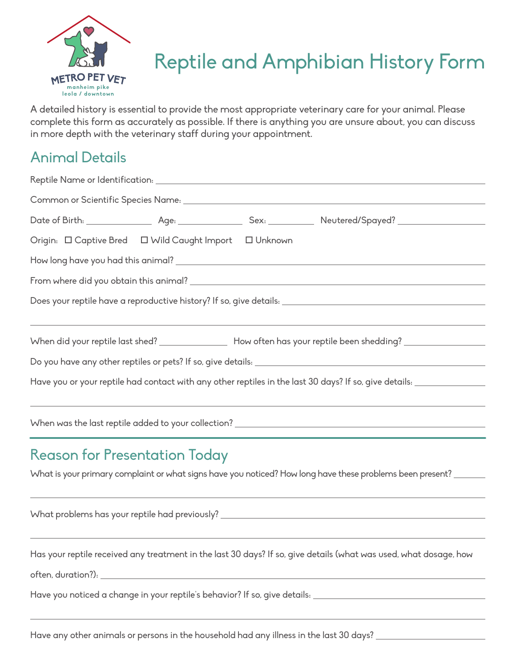

## Reptile and Amphibian History Form

A detailed history is essential to provide the most appropriate veterinary care for your animal. Please complete this form as accurately as possible. If there is anything you are unsure about, you can discuss in more depth with the veterinary staff during your appointment.

## Animal Details

|                                                                                                                 |  | Origin: $\Box$ Captive Bred $\Box$ Wild Caught Import $\Box$ Unknown |  |                                                                                                                      |  |
|-----------------------------------------------------------------------------------------------------------------|--|----------------------------------------------------------------------|--|----------------------------------------------------------------------------------------------------------------------|--|
|                                                                                                                 |  |                                                                      |  |                                                                                                                      |  |
|                                                                                                                 |  |                                                                      |  |                                                                                                                      |  |
|                                                                                                                 |  |                                                                      |  |                                                                                                                      |  |
|                                                                                                                 |  |                                                                      |  |                                                                                                                      |  |
|                                                                                                                 |  |                                                                      |  | When did your reptile last shed? _________________ How often has your reptile been shedding? ________________        |  |
|                                                                                                                 |  |                                                                      |  |                                                                                                                      |  |
|                                                                                                                 |  |                                                                      |  | Have you or your reptile had contact with any other reptiles in the last 30 days? If so, give details: _____________ |  |
|                                                                                                                 |  |                                                                      |  |                                                                                                                      |  |
|                                                                                                                 |  |                                                                      |  |                                                                                                                      |  |
|                                                                                                                 |  |                                                                      |  |                                                                                                                      |  |
|                                                                                                                 |  | <b>Reason for Presentation Today</b>                                 |  |                                                                                                                      |  |
| What is your primary complaint or what signs have you noticed? How long have these problems been present? _____ |  |                                                                      |  |                                                                                                                      |  |
|                                                                                                                 |  |                                                                      |  |                                                                                                                      |  |
|                                                                                                                 |  |                                                                      |  |                                                                                                                      |  |
|                                                                                                                 |  |                                                                      |  |                                                                                                                      |  |
|                                                                                                                 |  |                                                                      |  | Has your reptile received any treatment in the last 30 days? If so, give details (what was used, what dosage, how    |  |

often, duration?):

l,

Have you noticed a change in your reptile's behavior? If so, give details: \_\_\_\_\_\_\_\_\_\_\_\_\_\_\_\_\_\_\_\_\_\_\_\_\_\_\_\_\_\_\_\_\_\_\_

Have any other animals or persons in the household had any illness in the last 30 days?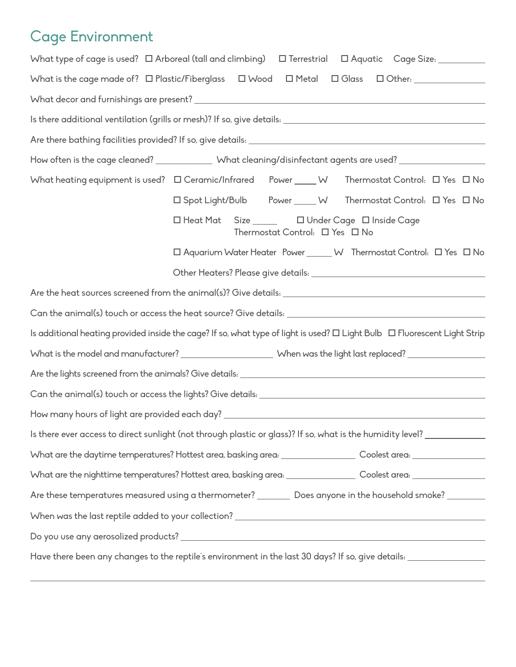## Cage Environment

 $\overline{\phantom{0}}$ 

| What type of cage is used? □ Arboreal (tall and climbing) □ Terrestrial □ Aquatic Cage Size: _______                      |
|---------------------------------------------------------------------------------------------------------------------------|
| What is the cage made of? $\Box$ Plastic/Fiberglass $\Box$ Wood $\Box$ Metal $\Box$ Glass $\Box$ Other:                   |
|                                                                                                                           |
|                                                                                                                           |
|                                                                                                                           |
| How often is the cage cleaned? ______________ What cleaning/disinfectant agents are used? ___________________             |
| What heating equipment is used? □ Ceramic/Infrared Power ____ W Thermostat Control: □ Yes □ No                            |
| □ Spot Light/Bulb Power ____ W Thermostat Control: □ Yes □ No                                                             |
| □ Heat Mat Size ______ □ Under Cage □ Inside Cage<br>Thermostat Control: $\Box$ Yes $\Box$ No                             |
| □ Aquarium Water Heater Power ______ W Thermostat Control: □ Yes □ No                                                     |
|                                                                                                                           |
|                                                                                                                           |
|                                                                                                                           |
| Is additional heating provided inside the cage? If so, what type of light is used? O Light Bulb O Fluorescent Light Strip |
|                                                                                                                           |
|                                                                                                                           |
|                                                                                                                           |
|                                                                                                                           |
| Is there ever access to direct sunlight (not through plastic or glass)? If so, what is the humidity level? ___________    |
| What are the daytime temperatures? Hottest area, basking area: __________________ Coolest area: ______________            |
| What are the nighttime temperatures? Hottest area, basking area: ________________ Coolest area: ______________            |
| Are these temperatures measured using a thermometer? _________ Does anyone in the household smoke? __________             |
|                                                                                                                           |
|                                                                                                                           |
| Have there been any changes to the reptile's environment in the last 30 days? If so, give details: ___________            |